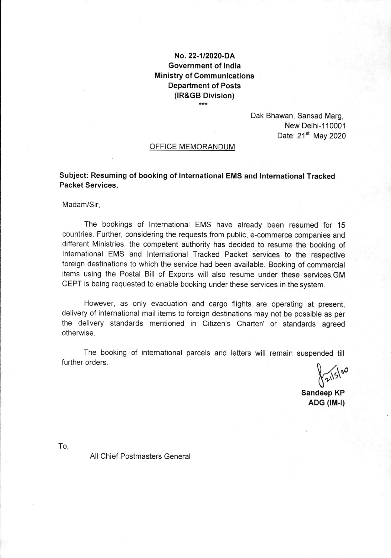## No.22-112020-DA Government of lndia Ministry of Communications Department of Posts (IR&GB Division)  $***$

Dak Bhawan, Sansad Marg, New Delhi-110001 Date:  $21<sup>st</sup>$  May 2020

## OFFICE MEMORANDUM

Subject: Resuming of booking of lnternational EMS and lnternational Tracked Packet Services.

Madam/Sir,

The bookings of lnternational EMS have already been resumed for <sup>15</sup> countries. Further, considering the requests from public, e-commerce companies and different Ministries, the competent authority has decided to resume the booking of lnternational EMS and lnternational Tracked Packet services to the respective foreign destinations to which the service had been available. Booking of commercial items using the Postal Bill of Exports will also resume under these services.GM CEPT is being requested to enable booking under these services in the system.

However, as only evacuation and cargo flights are operating at present, delivery of international mail items to foreign destinations may not be possible as per the delivery standards mentioned in Citizen's Charter/ or standards agreed otherwise.

The booking of international parcels and letters will remain suspended till further orders.

 $\int 2^{15}$  $\boldsymbol{\mathcal{S}}$ 

Sandeep KP  $ADG$  ( $IM-I$ )

To,

All Chief Postmasters General